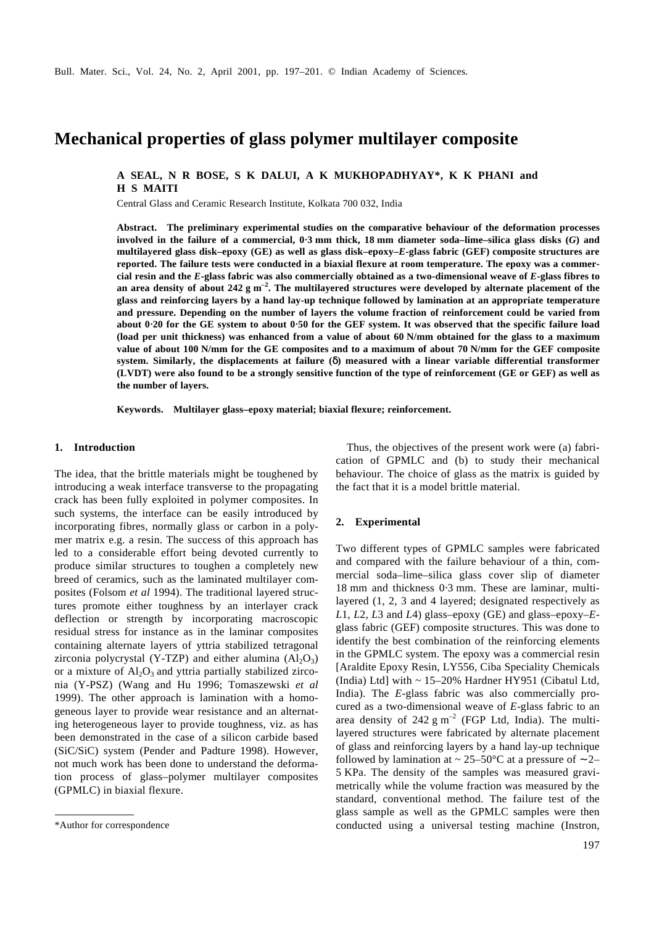# **Mechanical properties of glass polymer multilayer composite**

# **A SEAL, N R BOSE, S K DALUI, A K MUKHOPADHYAY\*, K K PHANI and H S MAITI**

Central Glass and Ceramic Research Institute, Kolkata 700 032, India

**Abstract. The preliminary experimental studies on the comparative behaviour of the deformation processes involved in the failure of a commercial, 0**⋅**3 mm thick, 18 mm diameter soda–lime–silica glass disks (***G***) and multilayered glass disk–epoxy (GE) as well as glass disk–epoxy–***E***-glass fabric (GEF) composite structures are reported. The failure tests were conducted in a biaxial flexure at room temperature. The epoxy was a commercial resin and the** *E***-glass fabric was also commercially obtained as a two-dimensional weave of** *E***-glass fibres to an area density of about 242 g m –2 . The multilayered structures were developed by alternate placement of the glass and reinforcing layers by a hand lay-up technique followed by lamination at an appropriate temperature and pressure. Depending on the number of layers the volume fraction of reinforcement could be varied from about 0**⋅**20 for the GE system to about 0**⋅**50 for the GEF system. It was observed that the specific failure load (load per unit thickness) was enhanced from a value of about 60 N/mm obtained for the glass to a maximum value of about 100 N/mm for the GE composites and to a maximum of about 70 N/mm for the GEF composite system. Similarly, the displacements at failure (***d***) measured with a linear variable differential transformer (LVDT) were also found to be a strongly sensitive function of the type of reinforcement (GE or GEF) as well as the number of layers.**

**Keywords. Multilayer glass–epoxy material; biaxial flexure; reinforcement.**

#### **1. Introduction**

The idea, that the brittle materials might be toughened by introducing a weak interface transverse to the propagating crack has been fully exploited in polymer composites. In such systems, the interface can be easily introduced by incorporating fibres, normally glass or carbon in a polymer matrix e.g. a resin. The success of this approach has led to a considerable effort being devoted currently to produce similar structures to toughen a completely new breed of ceramics, such as the laminated multilayer composites (Folsom *et al* 1994). The traditional layered structures promote either toughness by an interlayer crack deflection or strength by incorporating macroscopic residual stress for instance as in the laminar composites containing alternate layers of yttria stabilized tetragonal zirconia polycrystal (Y-TZP) and either alumina  $(Al_2O_3)$ or a mixture of  $Al_2O_3$  and yttria partially stabilized zirconia (Y-PSZ) (Wang and Hu 1996; Tomaszewski *et al* 1999). The other approach is lamination with a homogeneous layer to provide wear resistance and an alternating heterogeneous layer to provide toughness, viz. as has been demonstrated in the case of a silicon carbide based (SiC/SiC) system (Pender and Padture 1998). However, not much work has been done to understand the deformation process of glass–polymer multilayer composites (GPMLC) in biaxial flexure.

Thus, the objectives of the present work were (a) fabrication of GPMLC and (b) to study their mechanical behaviour. The choice of glass as the matrix is guided by the fact that it is a model brittle material.

## **2. Experimental**

Two different types of GPMLC samples were fabricated and compared with the failure behaviour of a thin, commercial soda–lime–silica glass cover slip of diameter 18 mm and thickness 0⋅3 mm. These are laminar, multilayered (1, 2, 3 and 4 layered; designated respectively as *L*1, *L*2, *L*3 and *L*4) glass–epoxy (GE) and glass–epoxy–*E*glass fabric (GEF) composite structures. This was done to identify the best combination of the reinforcing elements in the GPMLC system. The epoxy was a commercial resin [Araldite Epoxy Resin, LY556, Ciba Speciality Chemicals (India) Ltd] with  $\sim$  15–20% Hardner HY951 (Cibatul Ltd, India). The *E*-glass fabric was also commercially procured as a two-dimensional weave of *E*-glass fabric to an area density of 242  $\text{g m}^{-2}$  (FGP Ltd, India). The multilayered structures were fabricated by alternate placement of glass and reinforcing layers by a hand lay-up technique followed by lamination at ~ 25–50°C at a pressure of ~ 2– 5 KPa. The density of the samples was measured gravimetrically while the volume fraction was measured by the standard, conventional method. The failure test of the glass sample as well as the GPMLC samples were then \*Author for correspondence conducted using a universal testing machine (Instron,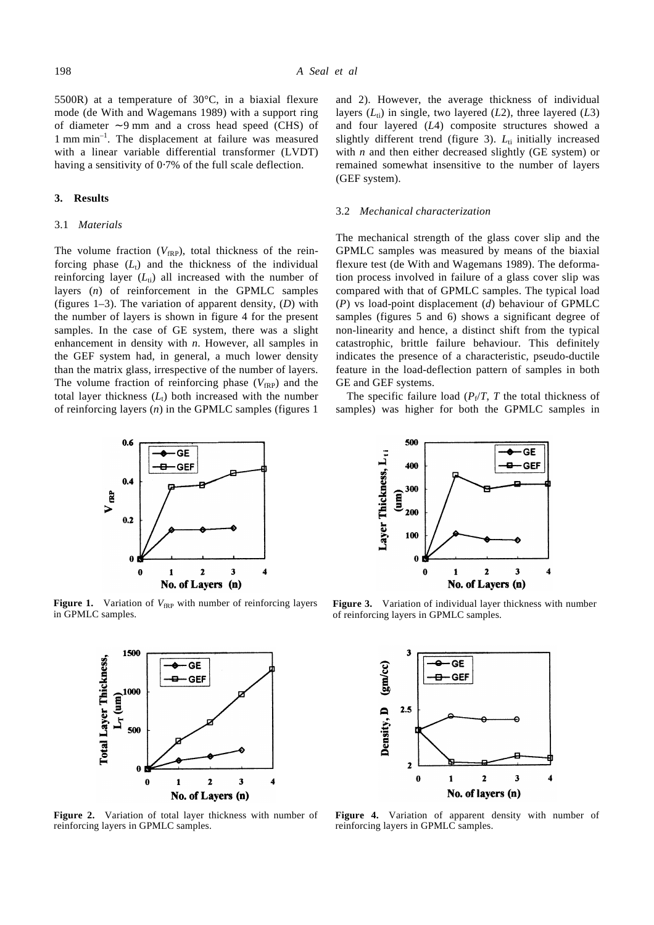5500R) at a temperature of 30°C, in a biaxial flexure mode (de With and Wagemans 1989) with a support ring of diameter ∼ 9 mm and a cross head speed (CHS) of 1 mm min<sup>-1</sup>. The displacement at failure was measured with a linear variable differential transformer (LVDT) having a sensitivity of 0⋅7% of the full scale deflection.

## **3. Results**

#### 3.1 *Materials*

The volume fraction  $(V_{fRP})$ , total thickness of the reinforcing phase  $(L_t)$  and the thickness of the individual reinforcing layer  $(L<sub>ti</sub>)$  all increased with the number of layers (*n*) of reinforcement in the GPMLC samples (figures 1–3). The variation of apparent density, (*D*) with the number of layers is shown in figure 4 for the present samples. In the case of GE system, there was a slight enhancement in density with *n*. However, all samples in the GEF system had, in general, a much lower density than the matrix glass, irrespective of the number of layers. The volume fraction of reinforcing phase  $(V_{fRP})$  and the total layer thickness  $(L_t)$  both increased with the number of reinforcing layers (*n*) in the GPMLC samples (figures 1

and 2). However, the average thickness of individual layers  $(L_i)$  in single, two layered  $(L2)$ , three layered  $(L3)$ and four layered (*L*4) composite structures showed a slightly different trend (figure 3).  $L<sub>ti</sub>$  initially increased with *n* and then either decreased slightly (GE system) or remained somewhat insensitive to the number of layers (GEF system).

#### 3.2 *Mechanical characterization*

The mechanical strength of the glass cover slip and the GPMLC samples was measured by means of the biaxial flexure test (de With and Wagemans 1989). The deformation process involved in failure of a glass cover slip was compared with that of GPMLC samples. The typical load (*P*) vs load-point displacement (*d*) behaviour of GPMLC samples (figures 5 and 6) shows a significant degree of non-linearity and hence, a distinct shift from the typical catastrophic, brittle failure behaviour. This definitely indicates the presence of a characteristic, pseudo-ductile feature in the load-deflection pattern of samples in both GE and GEF systems.

The specific failure load  $(P_f/T, T)$  the total thickness of samples) was higher for both the GPMLC samples in



**Figure 1.** Variation of  $V_{fRP}$  with number of reinforcing layers in GPMLC samples.



**Figure 2.** Variation of total layer thickness with number of reinforcing layers in GPMLC samples.



**Figure 3.** Variation of individual layer thickness with number of reinforcing layers in GPMLC samples.



**Figure 4.** Variation of apparent density with number of reinforcing layers in GPMLC samples.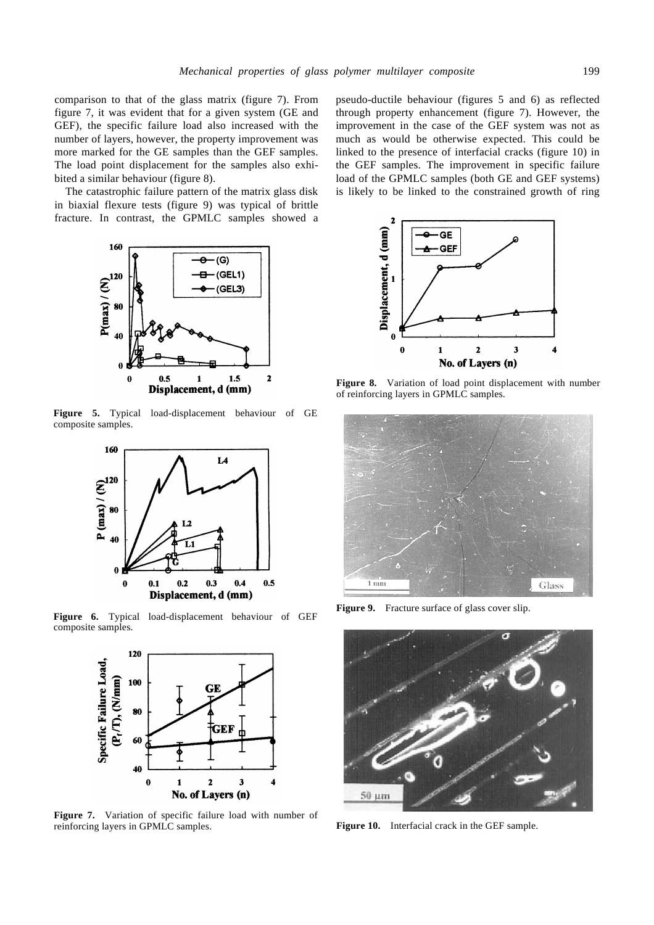comparison to that of the glass matrix (figure 7). From figure 7, it was evident that for a given system (GE and GEF), the specific failure load also increased with the number of layers, however, the property improvement was more marked for the GE samples than the GEF samples. The load point displacement for the samples also exhibited a similar behaviour (figure 8).

The catastrophic failure pattern of the matrix glass disk in biaxial flexure tests (figure 9) was typical of brittle fracture. In contrast, the GPMLC samples showed a



**Figure 5.** Typical load-displacement behaviour of GE composite samples.



**Figure 6.** Typical load-displacement behaviour of GEF composite samples.



**Figure 7.** Variation of specific failure load with number of reinforcing layers in GPMLC samples.

pseudo-ductile behaviour (figures 5 and 6) as reflected through property enhancement (figure 7). However, the improvement in the case of the GEF system was not as much as would be otherwise expected. This could be linked to the presence of interfacial cracks (figure 10) in the GEF samples. The improvement in specific failure load of the GPMLC samples (both GE and GEF systems) is likely to be linked to the constrained growth of ring



**Figure 8.** Variation of load point displacement with number of reinforcing layers in GPMLC samples.



Figure 9. Fracture surface of glass cover slip.



**Figure 10.** Interfacial crack in the GEF sample.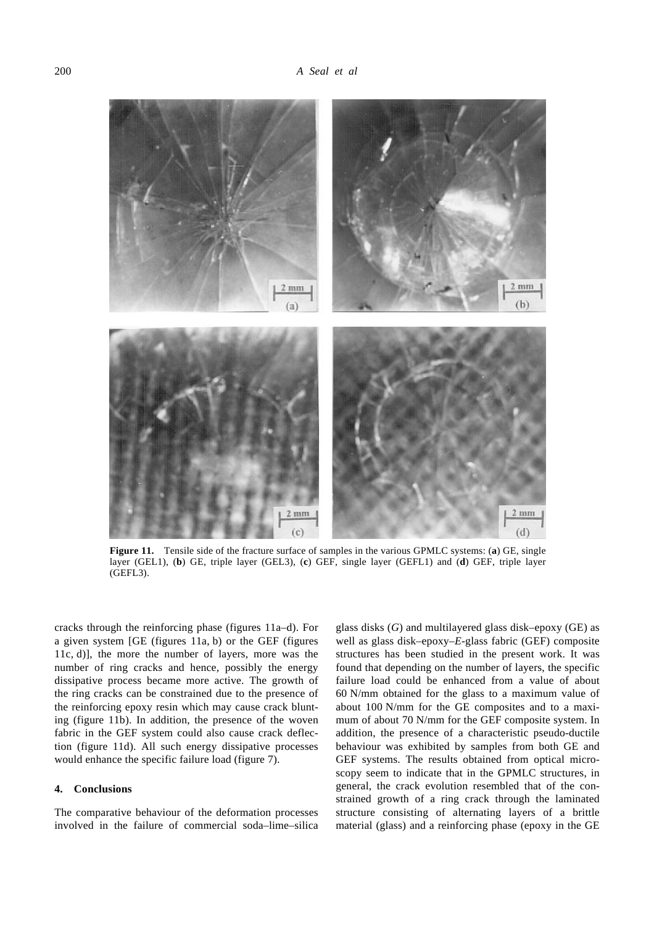

**Figure 11.** Tensile side of the fracture surface of samples in the various GPMLC systems: (a) GE, single layer (GEL1), (**b**) GE, triple layer (GEL3), (**c**) GEF, single layer (GEFL1) and (**d**) GEF, triple layer (GEFL3).

cracks through the reinforcing phase (figures 11a–d). For a given system [GE (figures 11a, b) or the GEF (figures 11c, d)], the more the number of layers, more was the number of ring cracks and hence, possibly the energy dissipative process became more active. The growth of the ring cracks can be constrained due to the presence of the reinforcing epoxy resin which may cause crack blunting (figure 11b). In addition, the presence of the woven fabric in the GEF system could also cause crack deflection (figure 11d). All such energy dissipative processes would enhance the specific failure load (figure 7).

## **4. Conclusions**

The comparative behaviour of the deformation processes involved in the failure of commercial soda–lime–silica glass disks (*G*) and multilayered glass disk–epoxy (GE) as well as glass disk–epoxy–*E*-glass fabric (GEF) composite structures has been studied in the present work. It was found that depending on the number of layers, the specific failure load could be enhanced from a value of about 60 N/mm obtained for the glass to a maximum value of about 100 N/mm for the GE composites and to a maximum of about 70 N/mm for the GEF composite system. In addition, the presence of a characteristic pseudo-ductile behaviour was exhibited by samples from both GE and GEF systems. The results obtained from optical microscopy seem to indicate that in the GPMLC structures, in general, the crack evolution resembled that of the constrained growth of a ring crack through the laminated structure consisting of alternating layers of a brittle material (glass) and a reinforcing phase (epoxy in the GE